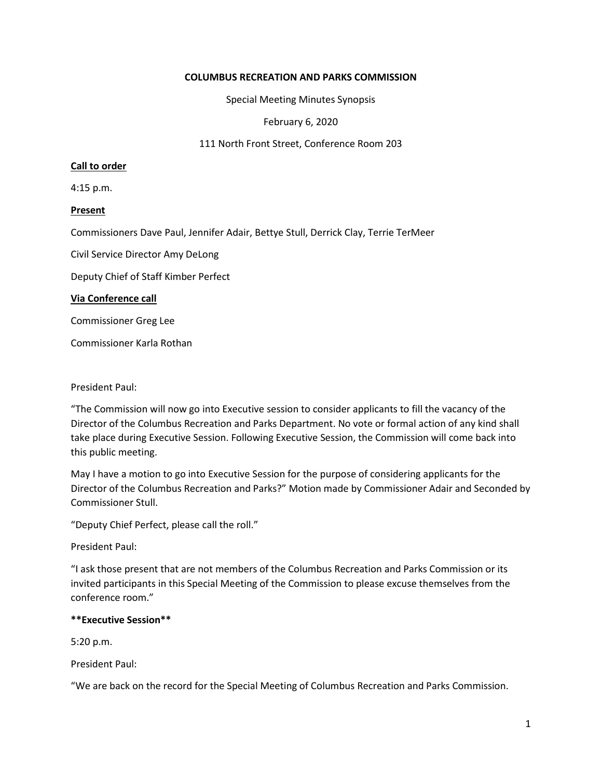## **COLUMBUS RECREATION AND PARKS COMMISSION**

Special Meeting Minutes Synopsis

February 6, 2020

111 North Front Street, Conference Room 203

# **Call to order**

4:15 p.m.

# **Present**

Commissioners Dave Paul, Jennifer Adair, Bettye Stull, Derrick Clay, Terrie TerMeer

Civil Service Director Amy DeLong

Deputy Chief of Staff Kimber Perfect

### **Via Conference call**

Commissioner Greg Lee

Commissioner Karla Rothan

### President Paul:

"The Commission will now go into Executive session to consider applicants to fill the vacancy of the Director of the Columbus Recreation and Parks Department. No vote or formal action of any kind shall take place during Executive Session. Following Executive Session, the Commission will come back into this public meeting.

May I have a motion to go into Executive Session for the purpose of considering applicants for the Director of the Columbus Recreation and Parks?" Motion made by Commissioner Adair and Seconded by Commissioner Stull.

"Deputy Chief Perfect, please call the roll."

President Paul:

"I ask those present that are not members of the Columbus Recreation and Parks Commission or its invited participants in this Special Meeting of the Commission to please excuse themselves from the conference room."

# **\*\*Executive Session\*\***

5:20 p.m.

President Paul:

"We are back on the record for the Special Meeting of Columbus Recreation and Parks Commission.